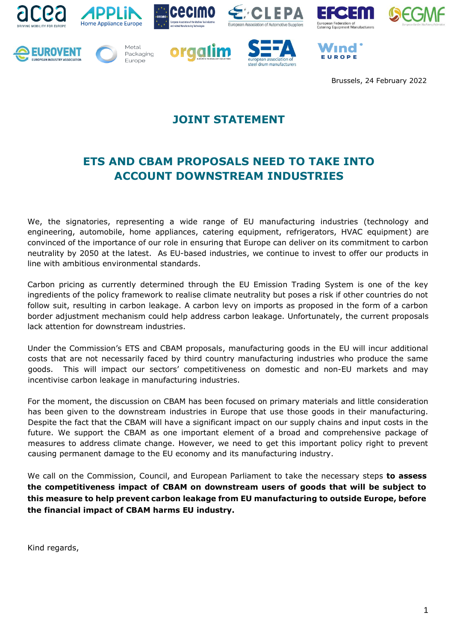



















Brussels, 24 February 2022

## **JOINT STATEMENT**

## **ETS AND CBAM PROPOSALS NEED TO TAKE INTO ACCOUNT DOWNSTREAM INDUSTRIES**

We, the signatories, representing a wide range of EU manufacturing industries (technology and engineering, automobile, home appliances, catering equipment, refrigerators, HVAC equipment) are convinced of the importance of our role in ensuring that Europe can deliver on its commitment to carbon neutrality by 2050 at the latest. As EU-based industries, we continue to invest to offer our products in line with ambitious environmental standards.

Carbon pricing as currently determined through the EU Emission Trading System is one of the key ingredients of the policy framework to realise climate neutrality but poses a risk if other countries do not follow suit, resulting in carbon leakage. A carbon levy on imports as proposed in the form of a carbon border adjustment mechanism could help address carbon leakage. Unfortunately, the current proposals lack attention for downstream industries.

Under the Commission's ETS and CBAM proposals, manufacturing goods in the EU will incur additional costs that are not necessarily faced by third country manufacturing industries who produce the same goods. This will impact our sectors' competitiveness on domestic and non-EU markets and may incentivise carbon leakage in manufacturing industries.

For the moment, the discussion on CBAM has been focused on primary materials and little consideration has been given to the downstream industries in Europe that use those goods in their manufacturing. Despite the fact that the CBAM will have a significant impact on our supply chains and input costs in the future. We support the CBAM as one important element of a broad and comprehensive package of measures to address climate change. However, we need to get this important policy right to prevent causing permanent damage to the EU economy and its manufacturing industry.

We call on the Commission, Council, and European Parliament to take the necessary steps **to assess the competitiveness impact of CBAM on downstream users of goods that will be subject to this measure to help prevent carbon leakage from EU manufacturing to outside Europe, before the financial impact of CBAM harms EU industry.** 

Kind regards,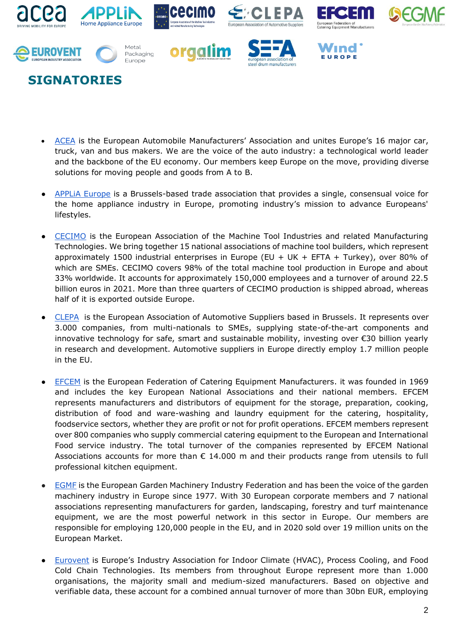

## **SIGNATORIES**

- [ACEA](https://www.acea.auto/) is the European Automobile Manufacturers' Association and unites Europe's 16 major car, truck, van and bus makers. We are the voice of the auto industry: a technological world leader and the backbone of the EU economy. Our [members](http://www.acea.auto/acea-members/) keep Europe on the move, providing diverse solutions for moving people and goods from A to B.
- APPLIA Europe is a Brussels-based trade association that provides a single, consensual voice for the home appliance industry in Europe, promoting industry's mission to advance Europeans' lifestyles.
- [CECIMO](https://www.cecimo.eu/) is the European Association of the Machine Tool Industries and related Manufacturing Technologies. We bring together 15 national associations of machine tool builders, which represent approximately 1500 industrial enterprises in Europe (EU + UK + EFTA + Turkey), over 80% of which are SMEs. CECIMO covers 98% of the total machine tool production in Europe and about 33% worldwide. It accounts for approximately 150,000 employees and a turnover of around 22.5 billion euros in 2021. More than three quarters of CECIMO production is shipped abroad, whereas half of it is exported outside Europe.
- [CLEPA](https://clepa.eu/) is the European Association of Automotive Suppliers based in Brussels. It represents over 3.000 companies, from multi-nationals to SMEs, supplying state-of-the-art components and innovative technology for safe, smart and sustainable mobility, investing over €30 billion yearly in research and development. Automotive suppliers in Europe directly employ 1.7 million people in the EU.
- [EFCEM](https://www.efcem.info/) is the European Federation of Catering Equipment Manufacturers. it was founded in 1969 and includes the key European National Associations and their national members. EFCEM represents manufacturers and distributors of equipment for the storage, preparation, cooking, distribution of food and ware-washing and laundry equipment for the catering, hospitality, foodservice sectors, whether they are profit or not for profit operations. EFCEM members represent over 800 companies who supply commercial catering equipment to the European and International Food service industry. The total turnover of the companies represented by EFCEM National Associations accounts for more than  $\epsilon$  14.000 m and their products range from utensils to full professional kitchen equipment.
- **[EGMF](https://egmf.org/)** is the European Garden Machinery Industry Federation and has been the voice of the garden machinery industry in Europe since 1977. With 30 European corporate members and 7 national associations representing manufacturers for garden, landscaping, forestry and turf maintenance equipment, we are the most powerful network in this sector in Europe. Our members are responsible for employing 120,000 people in the EU, and in 2020 sold over 19 million units on the European Market.
- [Eurovent](http://www.eurovent.eu/) is Europe's Industry Association for Indoor Climate (HVAC), Process Cooling, and Food Cold Chain Technologies. Its members from throughout Europe represent more than 1.000 organisations, the majority small and medium-sized manufacturers. Based on objective and verifiable data, these account for a combined annual turnover of more than 30bn EUR, employing